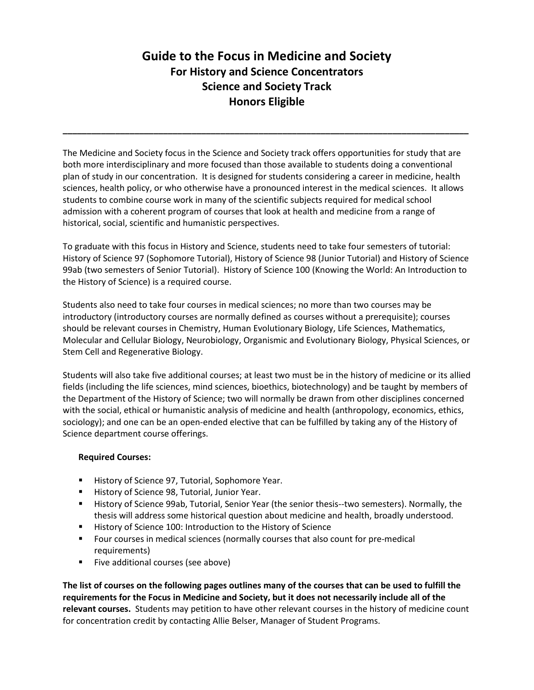# **Guide to the Focus in Medicine and Society For History and Science Concentrators Science and Society Track Honors Eligible**

**\_\_\_\_\_\_\_\_\_\_\_\_\_\_\_\_\_\_\_\_\_\_\_\_\_\_\_\_\_\_\_\_\_\_\_\_\_\_\_\_\_\_\_\_\_\_\_\_\_\_\_\_\_\_\_\_\_\_\_\_\_\_\_\_\_\_\_\_\_\_\_\_\_\_\_\_\_\_\_\_\_\_\_\_\_**

The Medicine and Society focus in the Science and Society track offers opportunities for study that are both more interdisciplinary and more focused than those available to students doing a conventional plan of study in our concentration. It is designed for students considering a career in medicine, health sciences, health policy, or who otherwise have a pronounced interest in the medical sciences. It allows students to combine course work in many of the scientific subjects required for medical school admission with a coherent program of courses that look at health and medicine from a range of historical, social, scientific and humanistic perspectives.

To graduate with this focus in History and Science, students need to take four semesters of tutorial: History of Science 97 (Sophomore Tutorial), History of Science 98 (Junior Tutorial) and History of Science 99ab (two semesters of Senior Tutorial). History of Science 100 (Knowing the World: An Introduction to the History of Science) is a required course.

Students also need to take four courses in medical sciences; no more than two courses may be introductory (introductory courses are normally defined as courses without a prerequisite); courses should be relevant courses in Chemistry, Human Evolutionary Biology, Life Sciences, Mathematics, Molecular and Cellular Biology, Neurobiology, Organismic and Evolutionary Biology, Physical Sciences, or Stem Cell and Regenerative Biology.

Students will also take five additional courses; at least two must be in the history of medicine or its allied fields (including the life sciences, mind sciences, bioethics, biotechnology) and be taught by members of the Department of the History of Science; two will normally be drawn from other disciplines concerned with the social, ethical or humanistic analysis of medicine and health (anthropology, economics, ethics, sociology); and one can be an open-ended elective that can be fulfilled by taking any of the History of Science department course offerings.

# **Required Courses:**

- History of Science 97, Tutorial, Sophomore Year.
- **History of Science 98, Tutorial, Junior Year.**
- History of Science 99ab, Tutorial, Senior Year (the senior thesis--two semesters). Normally, the thesis will address some historical question about medicine and health, broadly understood.
- History of Science 100: Introduction to the History of Science
- Four courses in medical sciences (normally courses that also count for pre-medical requirements)
- Five additional courses (see above)

**The list of courses on the following pages outlines many of the courses that can be used to fulfill the requirements for the Focus in Medicine and Society, but it does not necessarily include all of the relevant courses.** Students may petition to have other relevant courses in the history of medicine count for concentration credit by contacting Allie Belser, Manager of Student Programs.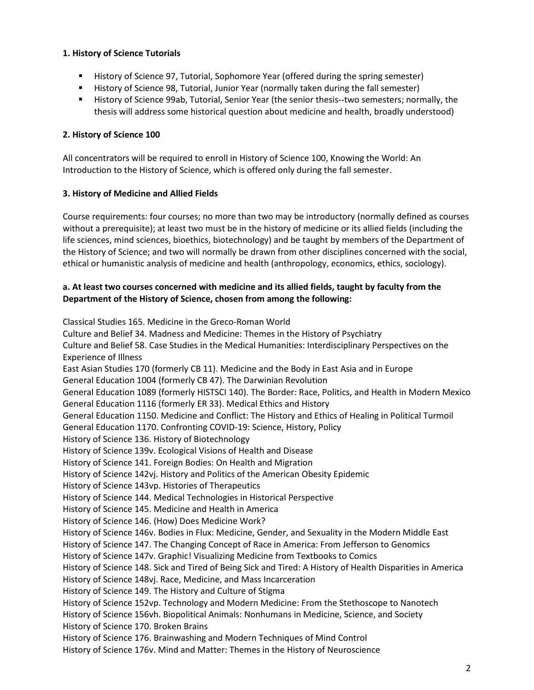# **1. History of Science Tutorials**

- **History of Science 97, Tutorial, Sophomore Year (offered during the spring semester)**
- **History of Science 98, Tutorial, Junior Year (normally taken during the fall semester)**
- History of Science 99ab, Tutorial, Senior Year (the senior thesis--two semesters; normally, the thesis will address some historical question about medicine and health, broadly understood)

## **2. History of Science 100**

All concentrators will be required to enroll in History of Science 100, Knowing the World: An Introduction to the History of Science, which is offered only during the fall semester.

## **3. History of Medicine and Allied Fields**

Course requirements: four courses; no more than two may be introductory (normally defined as courses without a prerequisite); at least two must be in the history of medicine or its allied fields (including the life sciences, mind sciences, bioethics, biotechnology) and be taught by members of the Department of the History of Science; and two will normally be drawn from other disciplines concerned with the social, ethical or humanistic analysis of medicine and health (anthropology, economics, ethics, sociology).

## **a. At least two courses concerned with medicine and its allied fields, taught by faculty from the Department of the History of Science, chosen from among the following:**

Classical Studies 165. Medicine in the Greco-Roman World Culture and Belief 34. Madness and Medicine: Themes in the History of Psychiatry Culture and Belief 58. Case Studies in the Medical Humanities: Interdisciplinary Perspectives on the Experience of Illness East Asian Studies 170 (formerly CB 11). Medicine and the Body in East Asia and in Europe General Education 1004 (formerly CB 47). The Darwinian Revolution General Education 1089 (formerly HISTSCI 140). The Border: Race, Politics, and Health in Modern Mexico General Education 1116 (formerly ER 33). Medical Ethics and History General Education 1150. Medicine and Conflict: The History and Ethics of Healing in Political Turmoil General Education 1170. Confronting COVID-19: Science, History, Policy History of Science 136. History of Biotechnology History of Science 139v. Ecological Visions of Health and Disease History of Science 141. Foreign Bodies: On Health and Migration History of Science 142vj. History and Politics of the American Obesity Epidemic History of Science 143vp. Histories of Therapeutics History of Science 144. Medical Technologies in Historical Perspective History of Science 145. Medicine and Health in America History of Science 146. (How) Does Medicine Work? History of Science 146v. Bodies in Flux: Medicine, Gender, and Sexuality in the Modern Middle East History of Science 147. The Changing Concept of Race in America: From Jefferson to Genomics History of Science 147v. Graphic! Visualizing Medicine from Textbooks to Comics History of Science 148. Sick and Tired of Being Sick and Tired: A History of Health Disparities in America History of Science 148vj. Race, Medicine, and Mass Incarceration History of Science 149. The History and Culture of Stigma History of Science 152vp. Technology and Modern Medicine: From the Stethoscope to Nanotech History of Science 156vh. Biopolitical Animals: Nonhumans in Medicine, Science, and Society History of Science 170. Broken Brains History of Science 176. Brainwashing and Modern Techniques of Mind Control History of Science 176v. Mind and Matter: Themes in the History of Neuroscience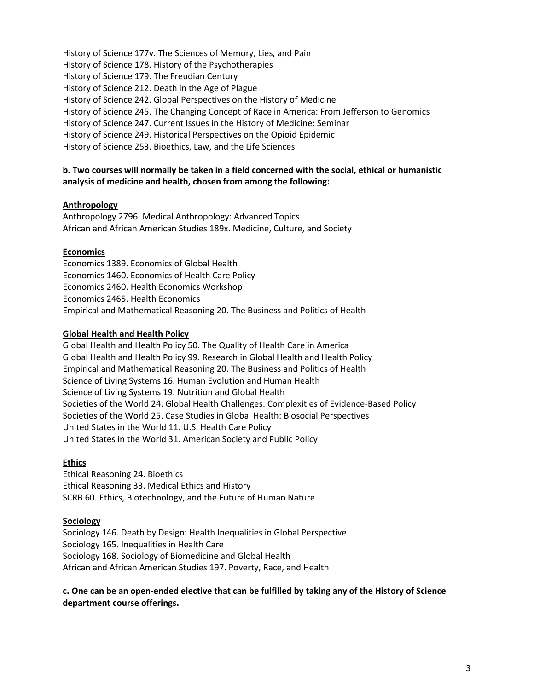History of Science 177v. The Sciences of Memory, Lies, and Pain History of Science 178. History of the Psychotherapies History of Science 179. The Freudian Century History of Science 212. Death in the Age of Plague History of Science 242. Global Perspectives on the History of Medicine History of Science 245. The Changing Concept of Race in America: From Jefferson to Genomics History of Science 247. Current Issues in the History of Medicine: Seminar History of Science 249. Historical Perspectives on the Opioid Epidemic History of Science 253. Bioethics, Law, and the Life Sciences

## **b. Two courses will normally be taken in a field concerned with the social, ethical or humanistic analysis of medicine and health, chosen from among the following:**

## **Anthropology**

Anthropology 2796. Medical Anthropology: Advanced Topics African and African American Studies 189x. Medicine, Culture, and Society

#### **Economics**

Economics 1389. Economics of Global Health Economics 1460. Economics of Health Care Policy Economics 2460. Health Economics Workshop Economics 2465. Health Economics Empirical and Mathematical Reasoning 20. The Business and Politics of Health

#### **Global Health and Health Policy**

Global Health and Health Policy 50. The Quality of Health Care in America Global Health and Health Policy 99. Research in Global Health and Health Policy Empirical and Mathematical Reasoning 20. The Business and Politics of Health Science of Living Systems 16. Human Evolution and Human Health Science of Living Systems 19. Nutrition and Global Health Societies of the World 24. Global Health Challenges: Complexities of Evidence-Based Policy Societies of the World 25. Case Studies in Global Health: Biosocial Perspectives United States in the World 11. U.S. Health Care Policy United States in the World 31. American Society and Public Policy

## **Ethics**

Ethical Reasoning 24. Bioethics Ethical Reasoning 33. Medical Ethics and History SCRB 60. Ethics, Biotechnology, and the Future of Human Nature

#### **Sociology**

Sociology 146. Death by Design: Health Inequalities in Global Perspective Sociology 165. Inequalities in Health Care Sociology 168. Sociology of Biomedicine and Global Health African and African American Studies 197. Poverty, Race, and Health

**c. One can be an open-ended elective that can be fulfilled by taking any of the History of Science department course offerings.**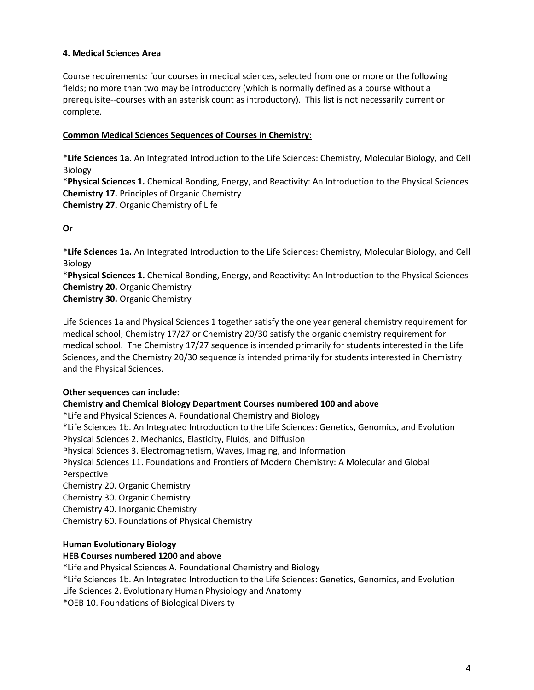## **4. Medical Sciences Area**

Course requirements: four courses in medical sciences, selected from one or more or the following fields; no more than two may be introductory (which is normally defined as a course without a prerequisite--courses with an asterisk count as introductory). This list is not necessarily current or complete.

## **Common Medical Sciences Sequences of Courses in Chemistry**:

\***Life Sciences 1a.** An Integrated Introduction to the Life Sciences: Chemistry, Molecular Biology, and Cell Biology

\***Physical Sciences 1.** Chemical Bonding, Energy, and Reactivity: An Introduction to the Physical Sciences **Chemistry 17.** Principles of Organic Chemistry **Chemistry 27.** Organic Chemistry of Life

**Or**

\***Life Sciences 1a.** An Integrated Introduction to the Life Sciences: Chemistry, Molecular Biology, and Cell Biology

\***Physical Sciences 1.** Chemical Bonding, Energy, and Reactivity: An Introduction to the Physical Sciences **Chemistry 20.** Organic Chemistry

**Chemistry 30.** Organic Chemistry

Life Sciences 1a and Physical Sciences 1 together satisfy the one year general chemistry requirement for medical school; Chemistry 17/27 or Chemistry 20/30 satisfy the organic chemistry requirement for medical school. The Chemistry 17/27 sequence is intended primarily for students interested in the Life Sciences, and the Chemistry 20/30 sequence is intended primarily for students interested in Chemistry and the Physical Sciences.

## **Other sequences can include:**

## **Chemistry and Chemical Biology Department Courses numbered 100 and above**

\*Life and Physical Sciences A. Foundational Chemistry and Biology \*Life Sciences 1b. An Integrated Introduction to the Life Sciences: Genetics, Genomics, and Evolution Physical Sciences 2. Mechanics, Elasticity, Fluids, and Diffusion Physical Sciences 3. Electromagnetism, Waves, Imaging, and Information Physical Sciences 11. Foundations and Frontiers of Modern Chemistry: A Molecular and Global Perspective Chemistry 20. Organic Chemistry Chemistry 30. Organic Chemistry Chemistry 40. Inorganic Chemistry Chemistry 60. Foundations of Physical Chemistry

## **Human Evolutionary Biology**

## **HEB Courses numbered 1200 and above**

\*Life and Physical Sciences A. Foundational Chemistry and Biology

\*Life Sciences 1b. An Integrated Introduction to the Life Sciences: Genetics, Genomics, and Evolution

Life Sciences 2. Evolutionary Human Physiology and Anatomy

\*OEB 10. Foundations of Biological Diversity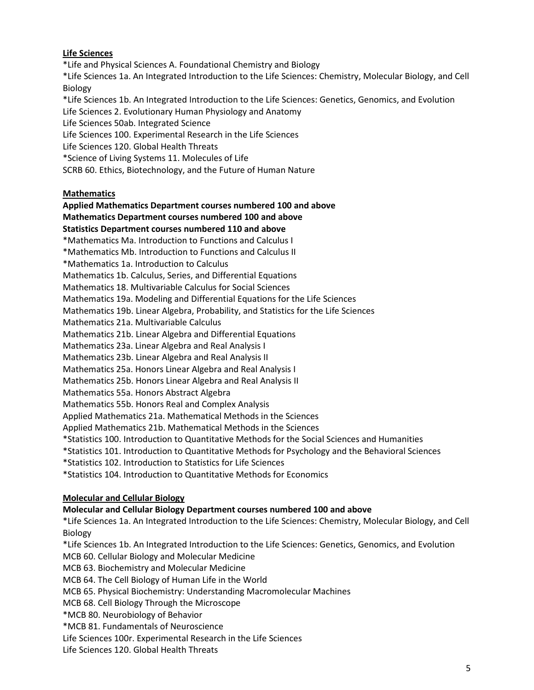## **Life Sciences**

\*Life and Physical Sciences A. Foundational Chemistry and Biology \*Life Sciences 1a. An Integrated Introduction to the Life Sciences: Chemistry, Molecular Biology, and Cell Biology \*Life Sciences 1b. An Integrated Introduction to the Life Sciences: Genetics, Genomics, and Evolution Life Sciences 2. Evolutionary Human Physiology and Anatomy Life Sciences 50ab. Integrated Science

Life Sciences 100. Experimental Research in the Life Sciences

Life Sciences 120. Global Health Threats

\*Science of Living Systems 11. Molecules of Life

SCRB 60. Ethics, Biotechnology, and the Future of Human Nature

# **Mathematics**

**Applied Mathematics Department courses numbered 100 and above Mathematics Department courses numbered 100 and above**

**Statistics Department courses numbered 110 and above**

\*Mathematics Ma. Introduction to Functions and Calculus I

\*Mathematics Mb. Introduction to Functions and Calculus II

\*Mathematics 1a. Introduction to Calculus

Mathematics 1b. Calculus, Series, and Differential Equations

Mathematics 18. Multivariable Calculus for Social Sciences

Mathematics 19a. Modeling and Differential Equations for the Life Sciences

Mathematics 19b. Linear Algebra, Probability, and Statistics for the Life Sciences

Mathematics 21a. Multivariable Calculus

Mathematics 21b. Linear Algebra and Differential Equations

Mathematics 23a. Linear Algebra and Real Analysis I

Mathematics 23b. Linear Algebra and Real Analysis II

Mathematics 25a. Honors Linear Algebra and Real Analysis I

Mathematics 25b. Honors Linear Algebra and Real Analysis II

Mathematics 55a. Honors Abstract Algebra

Mathematics 55b. Honors Real and Complex Analysis

Applied Mathematics 21a. Mathematical Methods in the Sciences

Applied Mathematics 21b. Mathematical Methods in the Sciences

\*Statistics 100. Introduction to Quantitative Methods for the Social Sciences and Humanities

\*Statistics 101. Introduction to Quantitative Methods for Psychology and the Behavioral Sciences

\*Statistics 102. Introduction to Statistics for Life Sciences

\*Statistics 104. Introduction to Quantitative Methods for Economics

## **Molecular and Cellular Biology**

## **Molecular and Cellular Biology Department courses numbered 100 and above**

\*Life Sciences 1a. An Integrated Introduction to the Life Sciences: Chemistry, Molecular Biology, and Cell Biology

\*Life Sciences 1b. An Integrated Introduction to the Life Sciences: Genetics, Genomics, and Evolution MCB 60. Cellular Biology and Molecular Medicine

MCB 63. Biochemistry and Molecular Medicine

MCB 64. The Cell Biology of Human Life in the World

MCB 65. Physical Biochemistry: Understanding Macromolecular Machines

MCB 68. Cell Biology Through the Microscope

\*MCB 80. Neurobiology of Behavior

\*MCB 81. Fundamentals of Neuroscience

Life Sciences 100r. Experimental Research in the Life Sciences

Life Sciences 120. Global Health Threats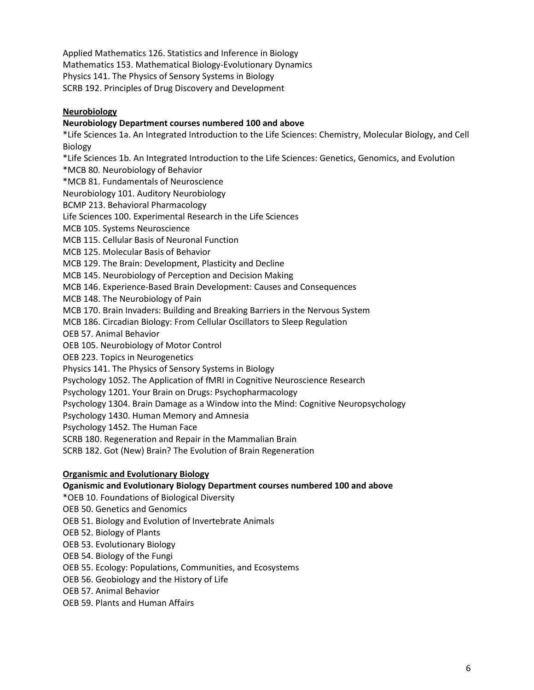Applied Mathematics 126. Statistics and Inference in Biology Mathematics 153. Mathematical Biology-Evolutionary Dynamics Physics 141. The Physics of Sensory Systems in Biology SCRB 192. Principles of Drug Discovery and Development

## **Neurobiology**

## **Neurobiology Department courses numbered 100 and above**

\*Life Sciences 1a. An Integrated Introduction to the Life Sciences: Chemistry, Molecular Biology, and Cell Biology

\*Life Sciences 1b. An Integrated Introduction to the Life Sciences: Genetics, Genomics, and Evolution

\*MCB 80. Neurobiology of Behavior

\*MCB 81. Fundamentals of Neuroscience

Neurobiology 101. Auditory Neurobiology

BCMP 213. Behavioral Pharmacology

Life Sciences 100. Experimental Research in the Life Sciences

MCB 105. Systems Neuroscience

MCB 115. Cellular Basis of Neuronal Function

MCB 125. Molecular Basis of Behavior

MCB 129. The Brain: Development, Plasticity and Decline

MCB 145. Neurobiology of Perception and Decision Making

- MCB 146. Experience-Based Brain Development: Causes and Consequences
- MCB 148. The Neurobiology of Pain

MCB 170. Brain Invaders: Building and Breaking Barriers in the Nervous System

MCB 186. Circadian Biology: From Cellular Oscillators to Sleep Regulation

OEB 57. Animal Behavior

OEB 105. Neurobiology of Motor Control

OEB 223. Topics in Neurogenetics

Physics 141. The Physics of Sensory Systems in Biology

Psychology 1052. The Application of fMRI in Cognitive Neuroscience Research

Psychology 1201. Your Brain on Drugs: Psychopharmacology

Psychology 1304. Brain Damage as a Window into the Mind: Cognitive Neuropsychology

Psychology 1430. Human Memory and Amnesia

Psychology 1452. The Human Face

SCRB 180. Regeneration and Repair in the Mammalian Brain

SCRB 182. Got (New) Brain? The Evolution of Brain Regeneration

## **Organismic and Evolutionary Biology**

## **Oganismic and Evolutionary Biology Department courses numbered 100 and above**

\*OEB 10. Foundations of Biological Diversity

OEB 50. Genetics and Genomics

OEB 51. Biology and Evolution of Invertebrate Animals

OEB 52. Biology of Plants

OEB 53. Evolutionary Biology

OEB 54. Biology of the Fungi

OEB 55. Ecology: Populations, Communities, and Ecosystems

OEB 56. Geobiology and the History of Life

OEB 57. Animal Behavior

OEB 59. Plants and Human Affairs